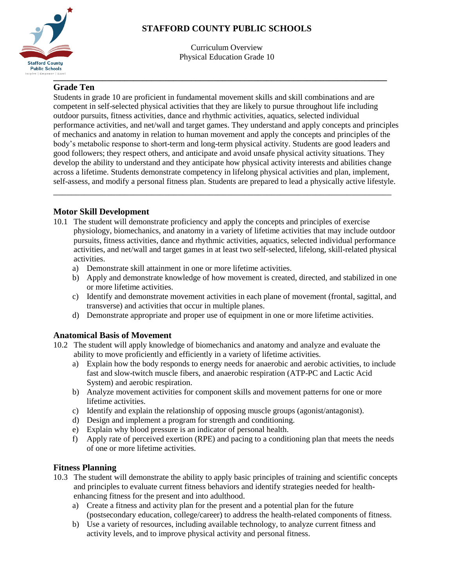# **STAFFORD COUNTY PUBLIC SCHOOLS**



Curriculum Overview Physical Education Grade 10

# **Grade Ten**

Students in grade 10 are proficient in fundamental movement skills and skill combinations and are competent in self-selected physical activities that they are likely to pursue throughout life including outdoor pursuits, fitness activities, dance and rhythmic activities, aquatics, selected individual performance activities, and net/wall and target games. They understand and apply concepts and principles of mechanics and anatomy in relation to human movement and apply the concepts and principles of the body's metabolic response to short-term and long-term physical activity. Students are good leaders and good followers; they respect others, and anticipate and avoid unsafe physical activity situations. They develop the ability to understand and they anticipate how physical activity interests and abilities change across a lifetime. Students demonstrate competency in lifelong physical activities and plan, implement, self-assess, and modify a personal fitness plan. Students are prepared to lead a physically active lifestyle.

## **Motor Skill Development**

10.1 The student will demonstrate proficiency and apply the concepts and principles of exercise physiology, biomechanics, and anatomy in a variety of lifetime activities that may include outdoor pursuits, fitness activities, dance and rhythmic activities, aquatics, selected individual performance activities, and net/wall and target games in at least two self-selected, lifelong, skill-related physical activities.

\_\_\_\_\_\_\_\_\_\_\_\_\_\_\_\_\_\_\_\_\_\_\_\_\_\_\_\_\_\_\_\_\_\_\_\_\_\_\_\_\_\_\_\_\_\_\_\_\_\_\_\_\_\_\_\_\_\_\_\_\_\_\_\_\_\_\_\_\_\_\_\_\_\_\_\_

- a) Demonstrate skill attainment in one or more lifetime activities.
- b) Apply and demonstrate knowledge of how movement is created, directed, and stabilized in one or more lifetime activities.
- c) Identify and demonstrate movement activities in each plane of movement (frontal, sagittal, and transverse) and activities that occur in multiple planes.
- d) Demonstrate appropriate and proper use of equipment in one or more lifetime activities.

#### **Anatomical Basis of Movement**

- 10.2 The student will apply knowledge of biomechanics and anatomy and analyze and evaluate the ability to move proficiently and efficiently in a variety of lifetime activities.
	- a) Explain how the body responds to energy needs for anaerobic and aerobic activities, to include fast and slow-twitch muscle fibers, and anaerobic respiration (ATP-PC and Lactic Acid System) and aerobic respiration.
	- b) Analyze movement activities for component skills and movement patterns for one or more lifetime activities.
	- c) Identify and explain the relationship of opposing muscle groups (agonist/antagonist).
	- d) Design and implement a program for strength and conditioning.
	- e) Explain why blood pressure is an indicator of personal health.
	- f) Apply rate of perceived exertion (RPE) and pacing to a conditioning plan that meets the needs of one or more lifetime activities.

## **Fitness Planning**

- 10.3 The student will demonstrate the ability to apply basic principles of training and scientific concepts and principles to evaluate current fitness behaviors and identify strategies needed for healthenhancing fitness for the present and into adulthood.
	- a) Create a fitness and activity plan for the present and a potential plan for the future (postsecondary education, college/career) to address the health-related components of fitness.
	- b) Use a variety of resources, including available technology, to analyze current fitness and activity levels, and to improve physical activity and personal fitness.